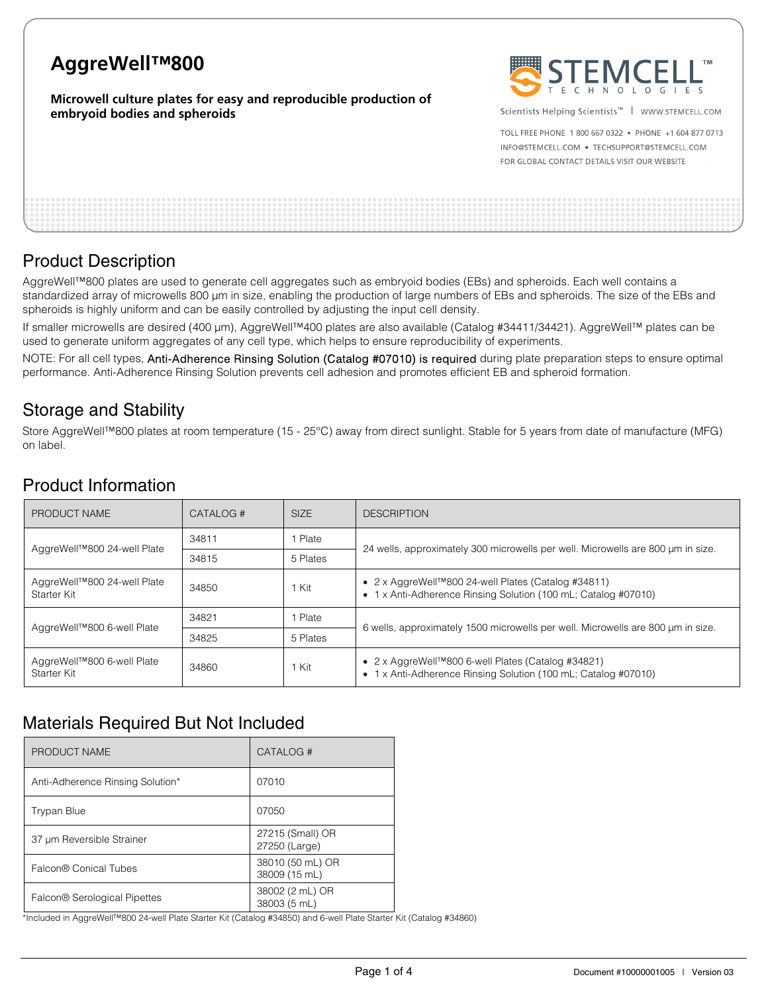# **AggreWell™800**

### **Microwell culture plates for easy and reproducible production of embryoid bodies and spheroids**



Scientists Helping Scientists<sup>™</sup> | WWW.STEMCELL.COM

TOLL FREE PHONE 1 800 667 0322 . PHONE +1 604 877 0713 INFO@STEMCELL.COM . TECHSUPPORT@STEMCELL.COM FOR GLOBAL CONTACT DETAILS VISIT OUR WEBSITE

## Product Description

AggreWell™800 plates are used to generate cell aggregates such as embryoid bodies (EBs) and spheroids. Each well contains a standardized array of microwells 800 μm in size, enabling the production of large numbers of EBs and spheroids. The size of the EBs and spheroids is highly uniform and can be easily controlled by adjusting the input cell density.

If smaller microwells are desired (400 μm), AggreWell™400 plates are also available (Catalog #34411/34421). AggreWell™ plates can be used to generate uniform aggregates of any cell type, which helps to ensure reproducibility of experiments.

NOTE: For all cell types, Anti-Adherence Rinsing Solution (Catalog #07010) is required during plate preparation steps to ensure optimal performance. Anti-Adherence Rinsing Solution prevents cell adhesion and promotes efficient EB and spheroid formation.

## Storage and Stability

Store AggreWell™800 plates at room temperature (15 - 25°C) away from direct sunlight. Stable for 5 years from date of manufacture (MFG) on label.

## Product Information

| PRODUCT NAME                               | <b>SIZE</b><br>CATALOG # |          | <b>DESCRIPTION</b>                                                                                                                        |  |  |  |  |
|--------------------------------------------|--------------------------|----------|-------------------------------------------------------------------------------------------------------------------------------------------|--|--|--|--|
| AggreWell™800 24-well Plate                | 34811                    | Plate    | 24 wells, approximately 300 microwells per well. Microwells are 800 um in size.                                                           |  |  |  |  |
|                                            | 34815                    | 5 Plates |                                                                                                                                           |  |  |  |  |
| AggreWell™800 24-well Plate<br>Starter Kit | 34850                    | Kit      | • $2 \times$ AggreWell <sup>™800</sup> 24-well Plates (Catalog #34811)<br>• 1 x Anti-Adherence Rinsing Solution (100 mL; Catalog #07010)  |  |  |  |  |
| AggreWell™800 6-well Plate                 | 34821                    | Plate    | 6 wells, approximately 1500 microwells per well. Microwells are 800 µm in size.                                                           |  |  |  |  |
|                                            | 34825                    | 5 Plates |                                                                                                                                           |  |  |  |  |
| AggreWell™800 6-well Plate<br>Starter Kit  | 34860                    | Kit      | • $2 \times$ AggreWell <sup>TM</sup> 800 6-well Plates (Catalog #34821)<br>• 1 x Anti-Adherence Rinsing Solution (100 mL; Catalog #07010) |  |  |  |  |

## Materials Required But Not Included

| PRODUCT NAME                     | CATALOG #                         |
|----------------------------------|-----------------------------------|
| Anti-Adherence Rinsing Solution* | 07010                             |
| <b>Trypan Blue</b>               | 07050                             |
| 37 µm Reversible Strainer        | 27215 (Small) OR<br>27250 (Large) |
| Falcon® Conical Tubes            | 38010 (50 mL) OR<br>38009 (15 mL) |
| Falcon® Serological Pipettes     | 38002 (2 mL) OR<br>38003 (5 mL)   |

\*Included in AggreWell™800 24-well Plate Starter Kit (Catalog #34850) and 6-well Plate Starter Kit (Catalog #34860)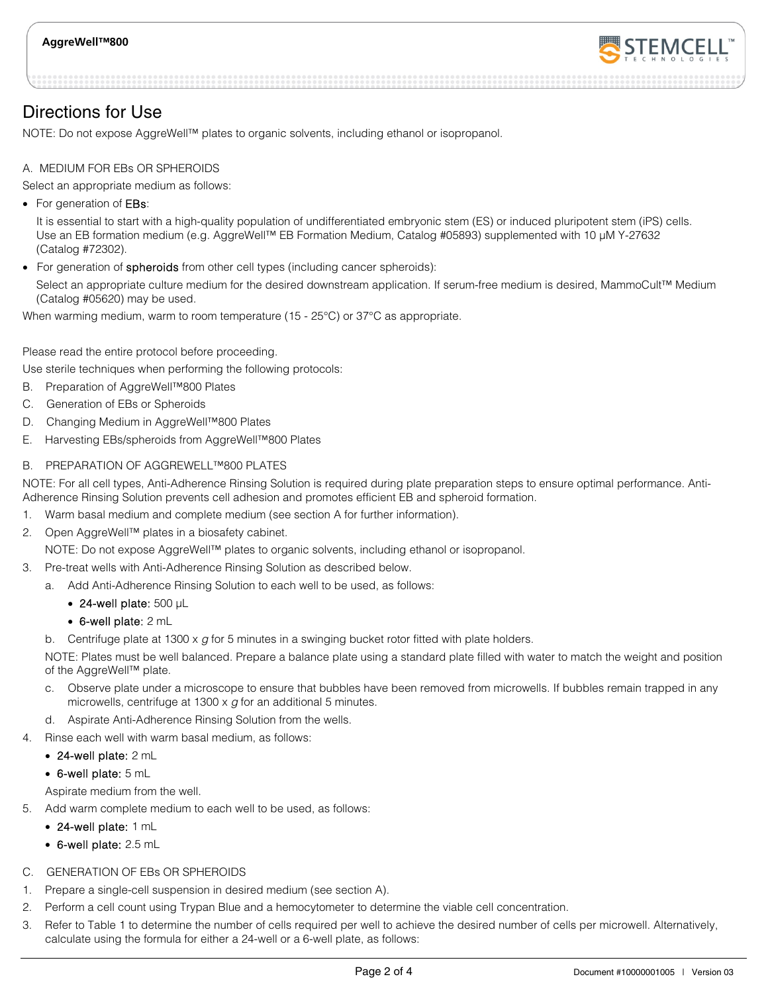

Directions for Use

NOTE: Do not expose AggreWell™ plates to organic solvents, including ethanol or isopropanol.

### A. MEDIUM FOR EBs OR SPHEROIDS

Select an appropriate medium as follows:

• For generation of **EBs**:

It is essential to start with a high-quality population of undifferentiated embryonic stem (ES) or induced pluripotent stem (iPS) cells. Use an EB formation medium (e.g. AggreWell™ EB Formation Medium, Catalog #05893) supplemented with 10 μM Y-27632 (Catalog #72302).

• For generation of spheroids from other cell types (including cancer spheroids):

Select an appropriate culture medium for the desired downstream application. If serum-free medium is desired, MammoCult™ Medium (Catalog #05620) may be used.

When warming medium, warm to room temperature (15 - 25°C) or 37°C as appropriate.

Please read the entire protocol before proceeding.

Use sterile techniques when performing the following protocols:

- B. Preparation of AggreWell™800 Plates
- C. Generation of EBs or Spheroids
- D. Changing Medium in AggreWell™800 Plates
- E. Harvesting EBs/spheroids from AggreWell™800 Plates

### B. PREPARATION OF AGGREWELL™800 PLATES

NOTE: For all cell types, Anti-Adherence Rinsing Solution is required during plate preparation steps to ensure optimal performance. Anti-Adherence Rinsing Solution prevents cell adhesion and promotes efficient EB and spheroid formation.

- 1. Warm basal medium and complete medium (see section A for further information).
- 2. Open AggreWell™ plates in a biosafety cabinet.

NOTE: Do not expose AggreWell™ plates to organic solvents, including ethanol or isopropanol.

- 3. Pre-treat wells with Anti-Adherence Rinsing Solution as described below.
	- a. Add Anti-Adherence Rinsing Solution to each well to be used, as follows:
		- 24-well plate: 500 μL
		- 6-well plate: 2 mL

b. Centrifuge plate at 1300  $\times$  g for 5 minutes in a swinging bucket rotor fitted with plate holders.

NOTE: Plates must be well balanced. Prepare a balance plate using a standard plate filled with water to match the weight and position of the AggreWell™ plate.

- c. Observe plate under a microscope to ensure that bubbles have been removed from microwells. If bubbles remain trapped in any microwells, centrifuge at 1300  $\times$  g for an additional 5 minutes.
- d. Aspirate Anti-Adherence Rinsing Solution from the wells.
- Rinse each well with warm basal medium, as follows:
	- 24-well plate: 2 mL
	- 6-well plate: 5 mL

Aspirate medium from the well.

- 5. Add warm complete medium to each well to be used, as follows:
	- 24-well plate: 1 mL
	- 6-well plate: 2.5 mL
- C. GENERATION OF EBs OR SPHEROIDS
- 1. Prepare a single-cell suspension in desired medium (see section A).
- 2. Perform a cell count using Trypan Blue and a hemocytometer to determine the viable cell concentration.
- 3. Refer to Table 1 to determine the number of cells required per well to achieve the desired number of cells per microwell. Alternatively, calculate using the formula for either a 24-well or a 6-well plate, as follows: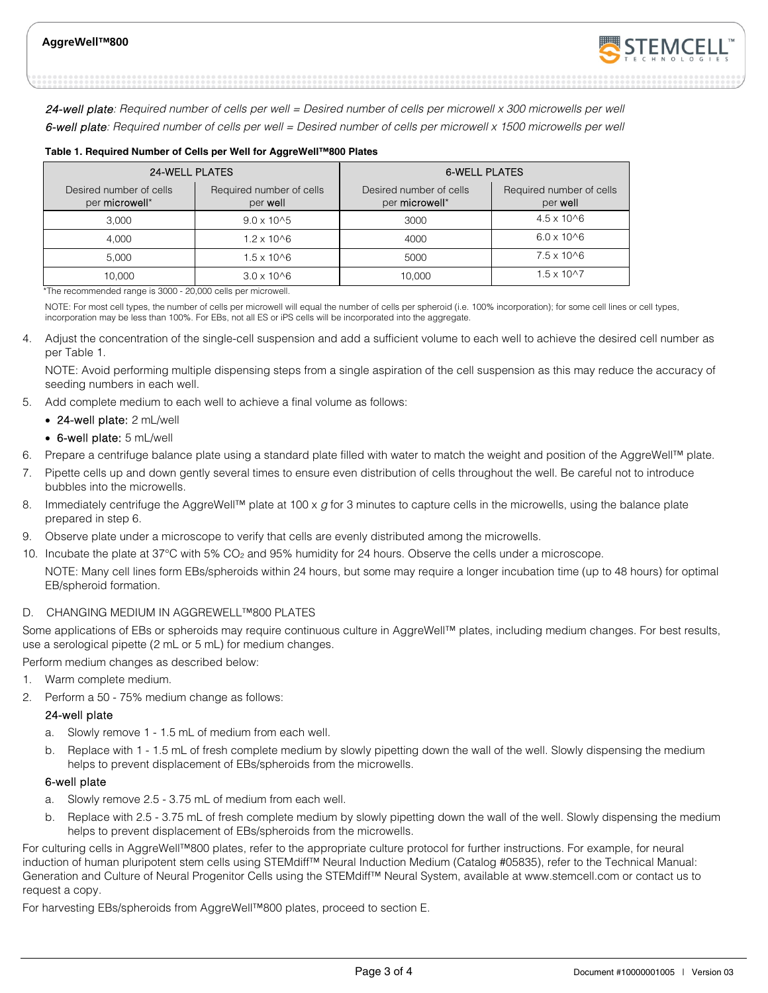

24-well plate: Required number of cells per well = Desired number of cells per microwell x 300 microwells per well 6-well plate: Required number of cells per well = Desired number of cells per microwell x 1500 microwells per well

| <b>24-WELL PLATES</b>                     |                                      | <b>6-WELL PLATES</b>                      |                                      |  |  |  |
|-------------------------------------------|--------------------------------------|-------------------------------------------|--------------------------------------|--|--|--|
| Desired number of cells<br>per microwell* | Required number of cells<br>per well | Desired number of cells<br>per microwell* | Required number of cells<br>per well |  |  |  |
| 3.000                                     | $9.0 \times 10^{6}$                  | 3000                                      | $4.5 \times 10^{6}$                  |  |  |  |
| 4.000                                     | 1.2 x 10^6                           | 4000                                      | $6.0 \times 10^{6}$                  |  |  |  |
| 5.000                                     | $1.5 \times 10^{6}$                  | 5000                                      | $7.5 \times 10^{6}$                  |  |  |  |
| 10.000                                    | $3.0 \times 10^{6}$                  | 10.000                                    | $1.5 \times 10^{17}$                 |  |  |  |

**Table 1. Required Number of Cells per Well for AggreWell™800 Plates** 

\*The recommended range is 3000 - 20,000 cells per microwell.

NOTE: For most cell types, the number of cells per microwell will equal the number of cells per spheroid (i.e. 100% incorporation); for some cell lines or cell types, incorporation may be less than 100%. For EBs, not all ES or iPS cells will be incorporated into the aggregate.

4. Adjust the concentration of the single-cell suspension and add a sufficient volume to each well to achieve the desired cell number as per Table 1.

NOTE: Avoid performing multiple dispensing steps from a single aspiration of the cell suspension as this may reduce the accuracy of seeding numbers in each well.

- 5. Add complete medium to each well to achieve a final volume as follows:
	- 24-well plate: 2 mL/well
	- 6-well plate: 5 mL/well
- 6. Prepare a centrifuge balance plate using a standard plate filled with water to match the weight and position of the AggreWell™ plate.
- 7. Pipette cells up and down gently several times to ensure even distribution of cells throughout the well. Be careful not to introduce bubbles into the microwells.
- 8. Immediately centrifuge the AggreWell™ plate at 100 x  $q$  for 3 minutes to capture cells in the microwells, using the balance plate prepared in step 6.
- 9. Observe plate under a microscope to verify that cells are evenly distributed among the microwells.
- 10. Incubate the plate at 37°C with 5% CO<sub>2</sub> and 95% humidity for 24 hours. Observe the cells under a microscope. NOTE: Many cell lines form EBs/spheroids within 24 hours, but some may require a longer incubation time (up to 48 hours) for optimal EB/spheroid formation.

#### D. CHANGING MEDIUM IN AGGREWELL™800 PLATES

Some applications of EBs or spheroids may require continuous culture in AggreWell™ plates, including medium changes. For best results, use a serological pipette (2 mL or 5 mL) for medium changes.

Perform medium changes as described below:

- 1. Warm complete medium.
- 2. Perform a 50 75% medium change as follows:

#### 24-well plate

- a. Slowly remove 1 1.5 mL of medium from each well.
- b. Replace with 1 1.5 mL of fresh complete medium by slowly pipetting down the wall of the well. Slowly dispensing the medium helps to prevent displacement of EBs/spheroids from the microwells.

#### 6-well plate

- a. Slowly remove 2.5 3.75 mL of medium from each well.
- b. Replace with 2.5 3.75 mL of fresh complete medium by slowly pipetting down the wall of the well. Slowly dispensing the medium helps to prevent displacement of EBs/spheroids from the microwells.

For culturing cells in AggreWell™800 plates, refer to the appropriate culture protocol for further instructions. For example, for neural induction of human pluripotent stem cells using STEMdiff™ Neural Induction Medium (Catalog #05835), refer to the Technical Manual: Generation and Culture of Neural Progenitor Cells using the STEMdiff™ Neural System, available at www.stemcell.com or contact us to request a copy.

For harvesting EBs/spheroids from AggreWell™800 plates, proceed to section E.